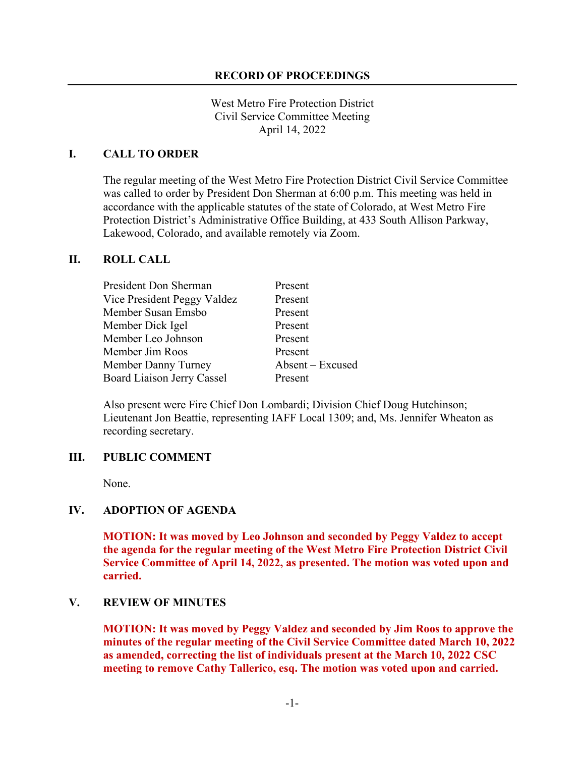#### **RECORD OF PROCEEDINGS**

West Metro Fire Protection District Civil Service Committee Meeting April 14, 2022

#### **I. CALL TO ORDER**

The regular meeting of the West Metro Fire Protection District Civil Service Committee was called to order by President Don Sherman at 6:00 p.m. This meeting was held in accordance with the applicable statutes of the state of Colorado, at West Metro Fire Protection District's Administrative Office Building, at 433 South Allison Parkway, Lakewood, Colorado, and available remotely via Zoom.

#### **II. ROLL CALL**

| President Don Sherman       | Present          |
|-----------------------------|------------------|
| Vice President Peggy Valdez | Present          |
| Member Susan Emsbo          | Present          |
| Member Dick Igel            | Present          |
| Member Leo Johnson          | Present          |
| Member Jim Roos             | Present          |
| Member Danny Turney         | Absent – Excused |
| Board Liaison Jerry Cassel  | Present          |

Also present were Fire Chief Don Lombardi; Division Chief Doug Hutchinson; Lieutenant Jon Beattie, representing IAFF Local 1309; and, Ms. Jennifer Wheaton as recording secretary.

#### **III. PUBLIC COMMENT**

None.

## **IV. ADOPTION OF AGENDA**

**MOTION: It was moved by Leo Johnson and seconded by Peggy Valdez to accept the agenda for the regular meeting of the West Metro Fire Protection District Civil Service Committee of April 14, 2022, as presented. The motion was voted upon and carried.**

#### **V. REVIEW OF MINUTES**

**MOTION: It was moved by Peggy Valdez and seconded by Jim Roos to approve the minutes of the regular meeting of the Civil Service Committee dated March 10, 2022 as amended, correcting the list of individuals present at the March 10, 2022 CSC meeting to remove Cathy Tallerico, esq. The motion was voted upon and carried.**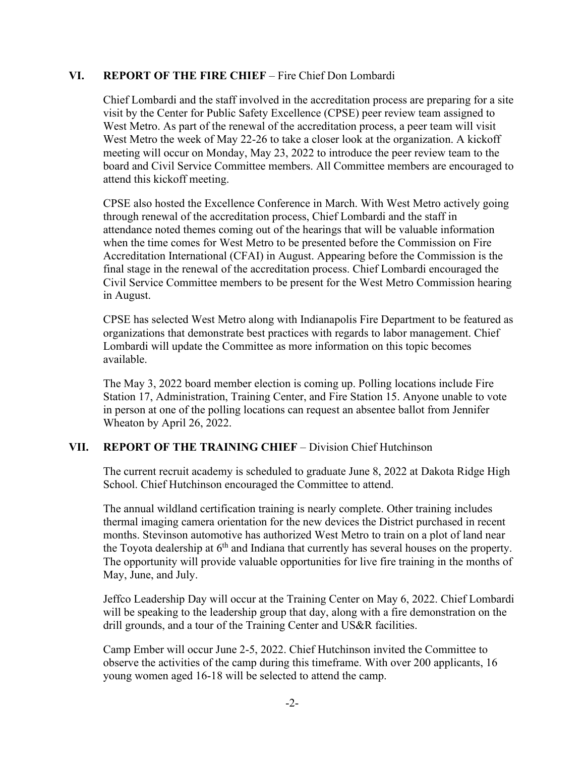### **VI. REPORT OF THE FIRE CHIEF** – Fire Chief Don Lombardi

Chief Lombardi and the staff involved in the accreditation process are preparing for a site visit by the Center for Public Safety Excellence (CPSE) peer review team assigned to West Metro. As part of the renewal of the accreditation process, a peer team will visit West Metro the week of May 22-26 to take a closer look at the organization. A kickoff meeting will occur on Monday, May 23, 2022 to introduce the peer review team to the board and Civil Service Committee members. All Committee members are encouraged to attend this kickoff meeting.

CPSE also hosted the Excellence Conference in March. With West Metro actively going through renewal of the accreditation process, Chief Lombardi and the staff in attendance noted themes coming out of the hearings that will be valuable information when the time comes for West Metro to be presented before the Commission on Fire Accreditation International (CFAI) in August. Appearing before the Commission is the final stage in the renewal of the accreditation process. Chief Lombardi encouraged the Civil Service Committee members to be present for the West Metro Commission hearing in August.

CPSE has selected West Metro along with Indianapolis Fire Department to be featured as organizations that demonstrate best practices with regards to labor management. Chief Lombardi will update the Committee as more information on this topic becomes available.

The May 3, 2022 board member election is coming up. Polling locations include Fire Station 17, Administration, Training Center, and Fire Station 15. Anyone unable to vote in person at one of the polling locations can request an absentee ballot from Jennifer Wheaton by April 26, 2022.

### **VII. REPORT OF THE TRAINING CHIEF** – Division Chief Hutchinson

The current recruit academy is scheduled to graduate June 8, 2022 at Dakota Ridge High School. Chief Hutchinson encouraged the Committee to attend.

The annual wildland certification training is nearly complete. Other training includes thermal imaging camera orientation for the new devices the District purchased in recent months. Stevinson automotive has authorized West Metro to train on a plot of land near the Toyota dealership at  $6<sup>th</sup>$  and Indiana that currently has several houses on the property. The opportunity will provide valuable opportunities for live fire training in the months of May, June, and July.

Jeffco Leadership Day will occur at the Training Center on May 6, 2022. Chief Lombardi will be speaking to the leadership group that day, along with a fire demonstration on the drill grounds, and a tour of the Training Center and US&R facilities.

Camp Ember will occur June 2-5, 2022. Chief Hutchinson invited the Committee to observe the activities of the camp during this timeframe. With over 200 applicants, 16 young women aged 16-18 will be selected to attend the camp.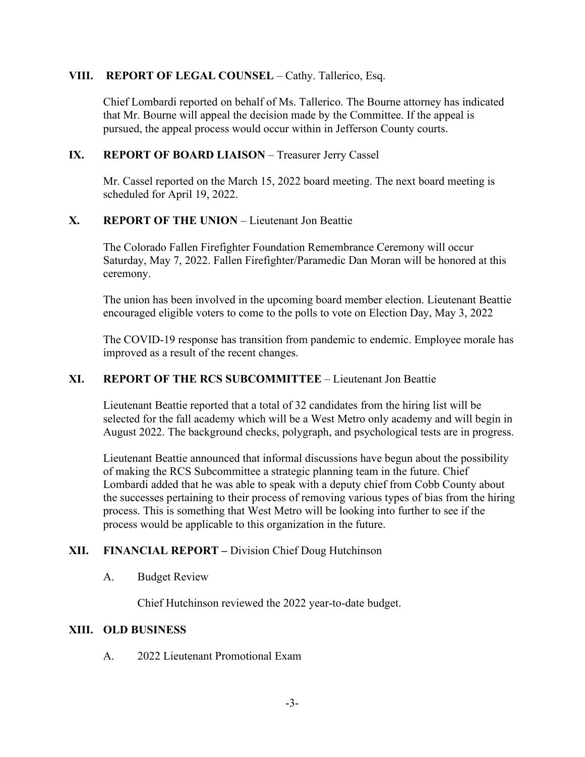## **VIII. REPORT OF LEGAL COUNSEL** – Cathy. Tallerico, Esq.

Chief Lombardi reported on behalf of Ms. Tallerico. The Bourne attorney has indicated that Mr. Bourne will appeal the decision made by the Committee. If the appeal is pursued, the appeal process would occur within in Jefferson County courts.

## **IX. REPORT OF BOARD LIAISON** – Treasurer Jerry Cassel

Mr. Cassel reported on the March 15, 2022 board meeting. The next board meeting is scheduled for April 19, 2022.

# **X. REPORT OF THE UNION** – Lieutenant Jon Beattie

The Colorado Fallen Firefighter Foundation Remembrance Ceremony will occur Saturday, May 7, 2022. Fallen Firefighter/Paramedic Dan Moran will be honored at this ceremony.

The union has been involved in the upcoming board member election. Lieutenant Beattie encouraged eligible voters to come to the polls to vote on Election Day, May 3, 2022

The COVID-19 response has transition from pandemic to endemic. Employee morale has improved as a result of the recent changes.

### **XI. REPORT OF THE RCS SUBCOMMITTEE** – Lieutenant Jon Beattie

Lieutenant Beattie reported that a total of 32 candidates from the hiring list will be selected for the fall academy which will be a West Metro only academy and will begin in August 2022. The background checks, polygraph, and psychological tests are in progress.

Lieutenant Beattie announced that informal discussions have begun about the possibility of making the RCS Subcommittee a strategic planning team in the future. Chief Lombardi added that he was able to speak with a deputy chief from Cobb County about the successes pertaining to their process of removing various types of bias from the hiring process. This is something that West Metro will be looking into further to see if the process would be applicable to this organization in the future.

# **XII. FINANCIAL REPORT –** Division Chief Doug Hutchinson

### A. Budget Review

Chief Hutchinson reviewed the 2022 year-to-date budget.

### **XIII. OLD BUSINESS**

A. 2022 Lieutenant Promotional Exam